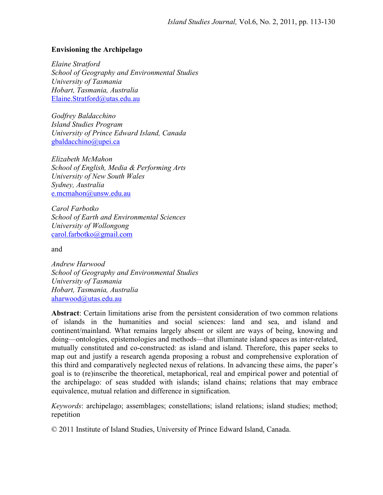#### **Envisioning the Archipelago**

*Elaine Stratford School of Geography and Environmental Studies University of Tasmania Hobart, Tasmania, Australia*  Elaine.Stratford@utas.edu.au

*Godfrey Baldacchino Island Studies Program University of Prince Edward Island, Canada*  gbaldacchino@upei.ca

*Elizabeth McMahon School of English, Media & Performing Arts University of New South Wales Sydney, Australia*  e.mcmahon@unsw.edu.au

*Carol Farbotko School of Earth and Environmental Sciences University of Wollongong*  carol.farbotko@gmail.com

and

*Andrew Harwood School of Geography and Environmental Studies University of Tasmania Hobart, Tasmania, Australia*  aharwood@utas.edu.au

**Abstract**: Certain limitations arise from the persistent consideration of two common relations of islands in the humanities and social sciences: land and sea, and island and continent/mainland. What remains largely absent or silent are ways of being, knowing and doing—ontologies, epistemologies and methods—that illuminate island spaces as inter-related, mutually constituted and co-constructed: as island and island. Therefore, this paper seeks to map out and justify a research agenda proposing a robust and comprehensive exploration of this third and comparatively neglected nexus of relations. In advancing these aims, the paper's goal is to (re)inscribe the theoretical, metaphorical, real and empirical power and potential of the archipelago: of seas studded with islands; island chains; relations that may embrace equivalence, mutual relation and difference in signification.

*Keywords*: archipelago; assemblages; constellations; island relations; island studies; method; repetition

© 2011 Institute of Island Studies, University of Prince Edward Island, Canada.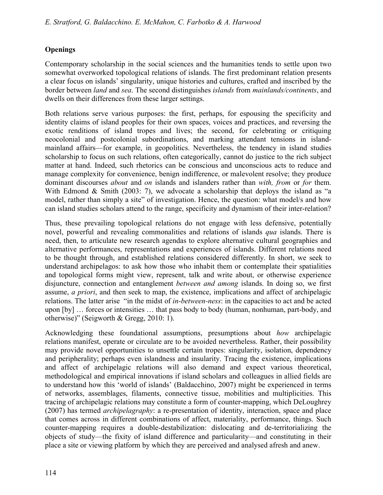# **Openings**

Contemporary scholarship in the social sciences and the humanities tends to settle upon two somewhat overworked topological relations of islands. The first predominant relation presents a clear focus on islands' singularity, unique histories and cultures, crafted and inscribed by the border between *land* and *sea*. The second distinguishes *islands* from *mainlands/continents*, and dwells on their differences from these larger settings.

Both relations serve various purposes: the first, perhaps, for espousing the specificity and identity claims of island peoples for their own spaces, voices and practices, and reversing the exotic renditions of island tropes and lives; the second, for celebrating or critiquing neocolonial and postcolonial subordinations, and marking attendant tensions in islandmainland affairs—for example, in geopolitics. Nevertheless, the tendency in island studies scholarship to focus on such relations, often categorically, cannot do justice to the rich subject matter at hand. Indeed, such rhetorics can be conscious and unconscious acts to reduce and manage complexity for convenience, benign indifference, or malevolent resolve; they produce dominant discourses *about* and *on* islands and islanders rather than *with, from* or *for* them. With Edmond & Smith (2003: 7), we advocate a scholarship that deploys the island as "a model, rather than simply a site" of investigation. Hence, the question: what model/s and how can island studies scholars attend to the range, specificity and dynamism of their inter-relation?

Thus, these prevailing topological relations do not engage with less defensive, potentially novel, powerful and revealing commonalities and relations of islands *qua* islands. There is need, then, to articulate new research agendas to explore alternative cultural geographies and alternative performances, representations and experiences of islands. Different relations need to be thought through, and established relations considered differently. In short, we seek to understand archipelagos: to ask how those who inhabit them or contemplate their spatialities and topological forms might view, represent, talk and write about, or otherwise experience disjuncture, connection and entanglement *between and among* islands. In doing so, we first assume, *a priori*, and then seek to map, the existence, implications and affect of archipelagic relations. The latter arise "in the midst of *in-between-ness*: in the capacities to act and be acted upon [by] … forces or intensities … that pass body to body (human, nonhuman, part-body, and otherwise)" (Seigworth & Gregg, 2010: 1).

Acknowledging these foundational assumptions, presumptions about *how* archipelagic relations manifest, operate or circulate are to be avoided nevertheless. Rather, their possibility may provide novel opportunities to unsettle certain tropes: singularity, isolation, dependency and peripherality; perhaps even islandness and insularity. Tracing the existence, implications and affect of archipelagic relations will also demand and expect various theoretical, methodological and empirical innovations if island scholars and colleagues in allied fields are to understand how this 'world of islands' (Baldacchino, 2007) might be experienced in terms of networks, assemblages, filaments, connective tissue, mobilities and multiplicities. This tracing of archipelagic relations may constitute a form of counter-mapping, which DeLoughrey (2007) has termed *archipelagraphy*: a re-presentation of identity, interaction, space and place that comes across in different combinations of affect, materiality, performance, things. Such counter-mapping requires a double-destabilization: dislocating and de-territorializing the objects of study—the fixity of island difference and particularity—and constituting in their place a site or viewing platform by which they are perceived and analysed afresh and anew.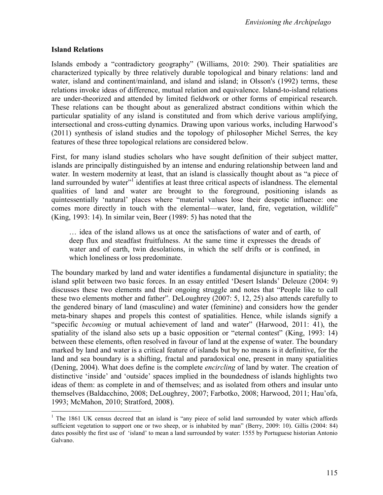### **Island Relations**

Islands embody a "contradictory geography" (Williams, 2010: 290). Their spatialities are characterized typically by three relatively durable topological and binary relations: land and water, island and continent/mainland, and island and island; in Olsson's (1992) terms, these relations invoke ideas of difference, mutual relation and equivalence. Island-to-island relations are under-theorized and attended by limited fieldwork or other forms of empirical research. These relations can be thought about as generalized abstract conditions within which the particular spatiality of any island is constituted and from which derive various amplifying, intersectional and cross-cutting dynamics. Drawing upon various works, including Harwood's (2011) synthesis of island studies and the topology of philosopher Michel Serres, the key features of these three topological relations are considered below.

First, for many island studies scholars who have sought definition of their subject matter, islands are principally distinguished by an intense and enduring relationship between land and water. In western modernity at least, that an island is classically thought about as "a piece of land surrounded by water"<sup>1</sup> identifies at least three critical aspects of islandness. The elemental qualities of land and water are brought to the foreground, positioning islands as quintessentially 'natural' places where "material values lose their despotic influence: one comes more directly in touch with the elemental—water, land, fire, vegetation, wildlife" (King, 1993: 14). In similar vein, Beer (1989: 5) has noted that the

… idea of the island allows us at once the satisfactions of water and of earth, of deep flux and steadfast fruitfulness. At the same time it expresses the dreads of water and of earth, twin desolations, in which the self drifts or is confined, in which loneliness or loss predominate.

The boundary marked by land and water identifies a fundamental disjuncture in spatiality; the island split between two basic forces. In an essay entitled 'Desert Islands' Deleuze (2004: 9) discusses these two elements and their ongoing struggle and notes that "People like to call these two elements mother and father". DeLoughrey (2007: 5, 12, 25) also attends carefully to the gendered binary of land (masculine) and water (feminine) and considers how the gender meta-binary shapes and propels this contest of spatialities. Hence, while islands signify a "specific *becoming* or mutual achievement of land and water" (Harwood, 2011: 41), the spatiality of the island also sets up a basic opposition or "eternal contest" (King, 1993: 14) between these elements, often resolved in favour of land at the expense of water. The boundary marked by land and water is a critical feature of islands but by no means is it definitive, for the land and sea boundary is a shifting, fractal and paradoxical one, present in many spatialities (Dening, 2004). What does define is the complete *encircling* of land by water. The creation of distinctive 'inside' and 'outside' spaces implied in the boundedness of islands highlights two ideas of them: as complete in and of themselves; and as isolated from others and insular unto themselves (Baldacchino, 2008; DeLoughrey, 2007; Farbotko, 2008; Harwood, 2011; Hau'ofa, 1993; McMahon, 2010; Stratford, 2008).

<sup>&</sup>lt;sup>1</sup> The 1861 UK census decreed that an island is "any piece of solid land surrounded by water which affords sufficient vegetation to support one or two sheep, or is inhabited by man" (Berry, 2009: 10). Gillis (2004: 84) dates possibly the first use of 'island' to mean a land surrounded by water: 1555 by Portuguese historian Antonio Galvano.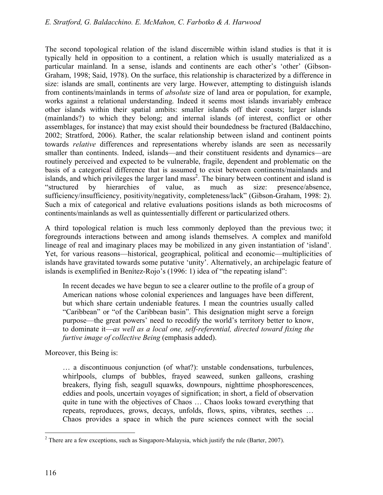The second topological relation of the island discernible within island studies is that it is typically held in opposition to a continent, a relation which is usually materialized as a particular mainland. In a sense, islands and continents are each other's 'other' (Gibson-Graham, 1998; Said, 1978). On the surface, this relationship is characterized by a difference in size: islands are small, continents are very large. However, attempting to distinguish islands from continents/mainlands in terms of *absolute* size of land area or population, for example, works against a relational understanding. Indeed it seems most islands invariably embrace other islands within their spatial ambits: smaller islands off their coasts; larger islands (mainlands?) to which they belong; and internal islands (of interest, conflict or other assemblages, for instance) that may exist should their boundedness be fractured (Baldacchino, 2002; Stratford, 2006). Rather, the scalar relationship between island and continent points towards *relative* differences and representations whereby islands are seen as necessarily smaller than continents. Indeed, islands—and their constituent residents and dynamics—are routinely perceived and expected to be vulnerable, fragile, dependent and problematic on the basis of a categorical difference that is assumed to exist between continents/mainlands and islands, and which privileges the larger land mass<sup>2</sup>. The binary between continent and island is "structured by hierarchies of value, as much as size: presence/absence, sufficiency/insufficiency, positivity/negativity, completeness/lack" (Gibson-Graham, 1998: 2). Such a mix of categorical and relative evaluations positions islands as both microcosms of continents/mainlands as well as quintessentially different or particularized others.

A third topological relation is much less commonly deployed than the previous two; it foregrounds interactions between and among islands themselves. A complex and manifold lineage of real and imaginary places may be mobilized in any given instantiation of 'island'. Yet, for various reasons—historical, geographical, political and economic—multiplicities of islands have gravitated towards some putative 'unity'. Alternatively, an archipelagic feature of islands is exemplified in Benítez-Rojo's (1996: 1) idea of "the repeating island":

In recent decades we have begun to see a clearer outline to the profile of a group of American nations whose colonial experiences and languages have been different, but which share certain undeniable features. I mean the countries usually called "Caribbean" or "of the Caribbean basin". This designation might serve a foreign purpose—the great powers' need to recodify the world's territory better to know, to dominate it—*as well as a local one, self-referential, directed toward fixing the furtive image of collective Being* (emphasis added).

Moreover, this Being is:

… a discontinuous conjunction (of what?): unstable condensations, turbulences, whirlpools, clumps of bubbles, frayed seaweed, sunken galleons, crashing breakers, flying fish, seagull squawks, downpours, nighttime phosphorescences, eddies and pools, uncertain voyages of signification; in short, a field of observation quite in tune with the objectives of Chaos … Chaos looks toward everything that repeats, reproduces, grows, decays, unfolds, flows, spins, vibrates, seethes … Chaos provides a space in which the pure sciences connect with the social

<sup>-</sup><sup>2</sup> There are a few exceptions, such as Singapore-Malaysia, which justify the rule (Barter, 2007).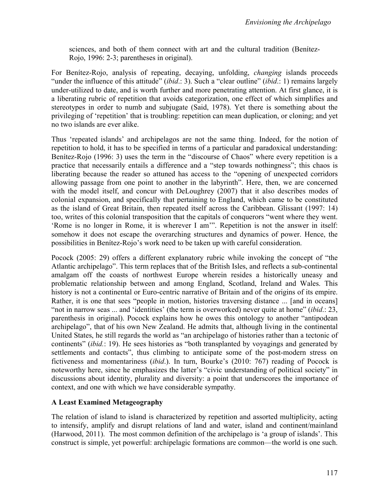sciences, and both of them connect with art and the cultural tradition (Benítez-Rojo, 1996: 2-3; parentheses in original).

For Benítez-Rojo, analysis of repeating, decaying, unfolding, *changing* islands proceeds "under the influence of this attitude" (*ibid*.: 3). Such a "clear outline" (*ibid*.: 1) remains largely under-utilized to date, and is worth further and more penetrating attention. At first glance, it is a liberating rubric of repetition that avoids categorization, one effect of which simplifies and stereotypes in order to numb and subjugate (Said, 1978). Yet there is something about the privileging of 'repetition' that is troubling: repetition can mean duplication, or cloning; and yet no two islands are ever alike.

Thus 'repeated islands' and archipelagos are not the same thing. Indeed, for the notion of repetition to hold, it has to be specified in terms of a particular and paradoxical understanding: Benítez-Rojo (1996: 3) uses the term in the "discourse of Chaos" where every repetition is a practice that necessarily entails a difference and a "step towards nothingness"; this chaos is liberating because the reader so attuned has access to the "opening of unexpected corridors allowing passage from one point to another in the labyrinth". Here, then, we are concerned with the model itself, and concur with DeLoughrey (2007) that it also describes modes of colonial expansion, and specifically that pertaining to England, which came to be constituted as the island of Great Britain, then repeated itself across the Caribbean. Glissant (1997: 14) too, writes of this colonial transposition that the capitals of conquerors "went where they went. 'Rome is no longer in Rome, it is wherever I am'". Repetition is not the answer in itself: somehow it does not escape the overarching structures and dynamics of power. Hence, the possibilities in Benítez-Rojo's work need to be taken up with careful consideration.

Pocock (2005: 29) offers a different explanatory rubric while invoking the concept of "the Atlantic archipelago". This term replaces that of the British Isles, and reflects a sub-continental amalgam off the coasts of northwest Europe wherein resides a historically uneasy and problematic relationship between and among England, Scotland, Ireland and Wales. This history is not a continental or Euro-centric narrative of Britain and of the origins of its empire. Rather, it is one that sees "people in motion, histories traversing distance ... [and in oceans] "not in narrow seas ... and 'identities' (the term is overworked) never quite at home" (*ibid*.: 23, parenthesis in original). Pocock explains how he owes this ontology to another "antipodean archipelago", that of his own New Zealand. He admits that, although living in the continental United States, he still regards the world as "an archipelago of histories rather than a tectonic of continents" (*ibid.*: 19). He sees histories as "both transplanted by voyagings and generated by settlements and contacts", thus climbing to anticipate some of the post-modern stress on fictiveness and momentariness (*ibid*.). In turn, Bourke's (2010: 767) reading of Pocock is noteworthy here, since he emphasizes the latter's "civic understanding of political society" in discussions about identity, plurality and diversity: a point that underscores the importance of context, and one with which we have considerable sympathy.

## **A Least Examined Metageography**

The relation of island to island is characterized by repetition and assorted multiplicity, acting to intensify, amplify and disrupt relations of land and water, island and continent/mainland (Harwood, 2011). The most common definition of the archipelago is 'a group of islands'. This construct is simple, yet powerful: archipelagic formations are common—the world is one such.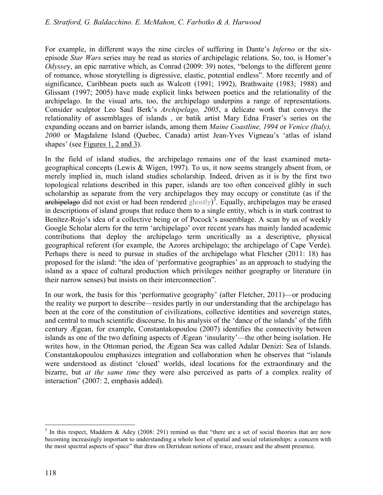For example, in different ways the nine circles of suffering in Dante's *Inferno* or the sixepisode *Star Wars* series may be read as stories of archipelagic relations. So, too, is Homer's *Odysse*y, an epic narrative which, as Conrad (2009: 39) notes, "belongs to the different genre of romance, whose storytelling is digressive, elastic, potential endless". More recently and of significance, Caribbean poets such as Walcott (1991; 1992), Brathwaite (1983; 1988) and Glissant (1997; 2005) have made explicit links between poetics and the relationality of the archipelago. In the visual arts, too, the archipelago underpins a range of representations. Consider sculptor Leo Saul Berk's *Archipelago, 2005*, a delicate work that conveys the relationality of assemblages of islands , or batik artist Mary Edna Fraser's series on the expanding oceans and on barrier islands, among them *Maine Coastline, 1994* or *Venice (Italy), 2000* or Magdalene Island (Quebec, Canada) artist Jean-Yves Vigneau's 'atlas of island shapes' (see Figures 1, 2 and 3).

In the field of island studies, the archipelago remains one of the least examined metageographical concepts (Lewis & Wigen, 1997). To us, it now seems strangely absent from, or merely implied in, much island studies scholarship. Indeed, driven as it is by the first two topological relations described in this paper, islands are too often conceived glibly in such scholarship as separate from the very archipelagos they may occupy or constitute (as if the  $\alpha$  archipelago did not exist or had been rendered ghostly)<sup>3</sup>. Equally, archipelagos may be erased in descriptions of island groups that reduce them to a single entity, which is in stark contrast to Benítez-Rojo's idea of a collective being or of Pocock's assemblage. A scan by us of weekly Google Scholar alerts for the term 'archipelago' over recent years has mainly landed academic contributions that deploy the archipelago term uncritically as a descriptive, physical geographical referent (for example, the Azores archipelago; the archipelago of Cape Verde). Perhaps there is need to pursue in studies of the archipelago what Fletcher (2011: 18) has proposed for the island: "the idea of 'performative geographies' as an approach to studying the island as a space of cultural production which privileges neither geography or literature (in their narrow senses) but insists on their interconnection".

In our work, the basis for this 'performative geography' (after Fletcher, 2011)—or producing the reality we purport to describe—resides partly in our understanding that the archipelago has been at the core of the constitution of civilizations, collective identities and sovereign states, and central to much scientific discourse. In his analysis of the 'dance of the islands' of the fifth century Ægean, for example, Constantakopoulou (2007) identifies the connectivity between islands as one of the two defining aspects of Ægean 'insularity'—the other being isolation. He writes how, in the Ottoman period, the Ægean Sea was called Adalar Denizi: Sea of Islands. Constantakopoulou emphasizes integration and collaboration when he observes that "islands were understood as distinct 'closed' worlds, ideal locations for the extraordinary and the bizarre, but *at the same time* they were also perceived as parts of a complex reality of interaction" (2007: 2, emphasis added).

 $\overline{a}$ <sup>3</sup> In this respect, Maddern & Adey (2008: 291) remind us that "there are a set of social theories that are now becoming increasingly important to understanding a whole host of spatial and social relationships: a concern with the most spectral aspects of space" that draw on Derridean notions of trace, erasure and the absent presence.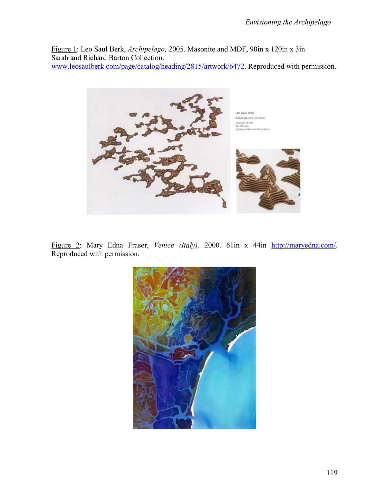Figure 1: Leo Saul Berk, *Archipelago,* 2005. Masonite and MDF, 90in x 120in x 3in Sarah and Richard Barton Collection. www.leosaulberk.com/page/catalog/heading/2815/artwork/6472. Reproduced with permission.



Figure 2: Mary Edna Fraser, *Venice (Italy),* 2000. 61in x 44in http://maryedna.com/. Reproduced with permission.

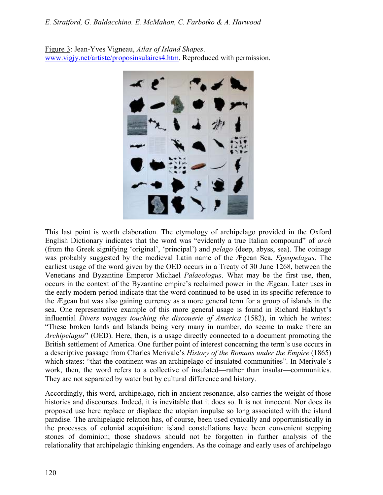Figure 3: Jean-Yves Vigneau, *Atlas of Island Shapes*. www.vigjy.net/artiste/proposinsulaires4.htm. Reproduced with permission.



This last point is worth elaboration. The etymology of archipelago provided in the Oxford English Dictionary indicates that the word was "evidently a true Italian compound" of *arch* (from the Greek signifying 'original', 'principal') and *pelago* (deep, abyss, sea). The coinage was probably suggested by the medieval Latin name of the Ægean Sea, *Egeopelagus*. The earliest usage of the word given by the OED occurs in a Treaty of 30 June 1268, between the Venetians and Byzantine Emperor Michael *Palaeologus*. What may be the first use, then, occurs in the context of the Byzantine empire's reclaimed power in the Ægean. Later uses in the early modern period indicate that the word continued to be used in its specific reference to the Ægean but was also gaining currency as a more general term for a group of islands in the sea. One representative example of this more general usage is found in Richard Hakluyt's influential *Divers voyages touching the discouerie of America* (1582), in which he writes: "These broken lands and Islands being very many in number, do seeme to make there an *Archipelagus*" (OED). Here, then, is a usage directly connected to a document promoting the British settlement of America. One further point of interest concerning the term's use occurs in a descriptive passage from Charles Merivale's *History of the Romans under the Empire* (1865) which states: "that the continent was an archipelago of insulated communities". In Merivale's work, then, the word refers to a collective of insulated—rather than insular—communities. They are not separated by water but by cultural difference and history.

Accordingly, this word, archipelago, rich in ancient resonance, also carries the weight of those histories and discourses. Indeed, it is inevitable that it does so. It is not innocent. Nor does its proposed use here replace or displace the utopian impulse so long associated with the island paradise. The archipelagic relation has, of course, been used cynically and opportunistically in the processes of colonial acquisition: island constellations have been convenient stepping stones of dominion; those shadows should not be forgotten in further analysis of the relationality that archipelagic thinking engenders. As the coinage and early uses of archipelago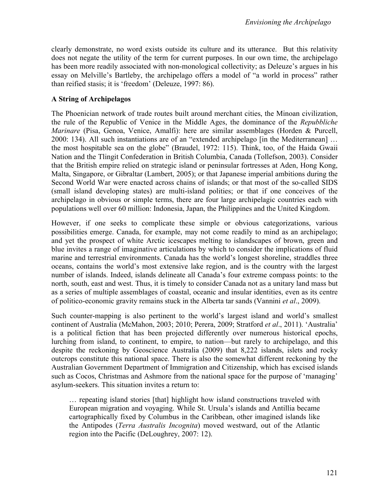clearly demonstrate, no word exists outside its culture and its utterance. But this relativity does not negate the utility of the term for current purposes. In our own time, the archipelago has been more readily associated with non-monological collectivity; as Deleuze's argues in his essay on Melville's Bartleby, the archipelago offers a model of "a world in process" rather than reified stasis; it is 'freedom' (Deleuze, 1997: 86).

### **A String of Archipelagos**

The Phoenician network of trade routes built around merchant cities, the Minoan civilization, the rule of the Republic of Venice in the Middle Ages, the dominance of the *Repubbliche Marinare* (Pisa, Genoa, Venice, Amalfi): here are similar assemblages (Horden & Purcell, 2000: 134). All such instantiations are of an "extended archipelago [in the Mediterranean] … the most hospitable sea on the globe" (Braudel, 1972: 115). Think, too, of the Haida Gwaii Nation and the Tlingit Confederation in British Columbia, Canada (Tollefson, 2003). Consider that the British empire relied on strategic island or peninsular fortresses at Aden, Hong Kong, Malta, Singapore, or Gibraltar (Lambert, 2005); or that Japanese imperial ambitions during the Second World War were enacted across chains of islands; or that most of the so-called SIDS (small island developing states) are multi-island polities; or that if one conceives of the archipelago in obvious or simple terms, there are four large archipelagic countries each with populations well over 60 million: Indonesia, Japan, the Philippines and the United Kingdom.

However, if one seeks to complicate these simple or obvious categorizations, various possibilities emerge. Canada, for example, may not come readily to mind as an archipelago; and yet the prospect of white Arctic icescapes melting to islandscapes of brown, green and blue invites a range of imaginative articulations by which to consider the implications of fluid marine and terrestrial environments. Canada has the world's longest shoreline, straddles three oceans, contains the world's most extensive lake region, and is the country with the largest number of islands. Indeed, islands delineate all Canada's four extreme compass points: to the north, south, east and west. Thus, it is timely to consider Canada not as a unitary land mass but as a series of multiple assemblages of coastal, oceanic and insular identities, even as its centre of politico-economic gravity remains stuck in the Alberta tar sands (Vannini *et al*., 2009).

Such counter-mapping is also pertinent to the world's largest island and world's smallest continent of Australia (McMahon, 2003; 2010; Perera, 2009; Stratford *et al*., 2011). 'Australia' is a political fiction that has been projected differently over numerous historical epochs, lurching from island, to continent, to empire, to nation—but rarely to archipelago, and this despite the reckoning by Geoscience Australia (2009) that 8,222 islands, islets and rocky outcrops constitute this national space. There is also the somewhat different reckoning by the Australian Government Department of Immigration and Citizenship, which has excised islands such as Cocos, Christmas and Ashmore from the national space for the purpose of 'managing' asylum-seekers. This situation invites a return to:

… repeating island stories [that] highlight how island constructions traveled with European migration and voyaging. While St. Ursula's islands and Antillia became cartographically fixed by Columbus in the Caribbean, other imagined islands like the Antipodes (*Terra Australis Incognita*) moved westward, out of the Atlantic region into the Pacific (DeLoughrey, 2007: 12).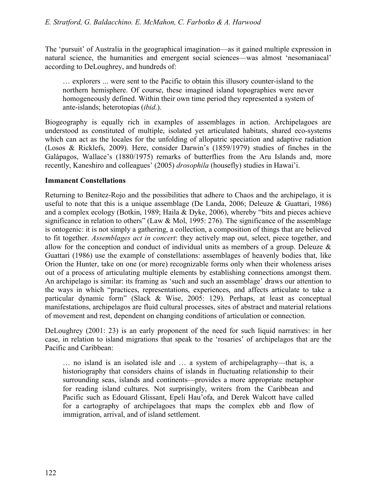The 'pursuit' of Australia in the geographical imagination—as it gained multiple expression in natural science, the humanities and emergent social sciences—was almost 'nesomaniacal' according to DeLoughrey, and hundreds of:

… explorers ... were sent to the Pacific to obtain this illusory counter-island to the northern hemisphere. Of course, these imagined island topographies were never homogeneously defined. Within their own time period they represented a system of ante-islands; heterotopias (*ibid*.).

Biogeography is equally rich in examples of assemblages in action. Archipelagoes are understood as constituted of multiple, isolated yet articulated habitats, shared eco-systems which can act as the locales for the unfolding of allopatric speciation and adaptive radiation (Losos & Ricklefs, 2009). Here, consider Darwin's (1859/1979) studies of finches in the Galápagos, Wallace's (1880/1975) remarks of butterflies from the Aru Islands and, more recently, Kaneshiro and colleagues' (2005) *drosophila* (housefly) studies in Hawai'i.

## **Immanent Constellations**

Returning to Benítez-Rojo and the possibilities that adhere to Chaos and the archipelago, it is useful to note that this is a unique assemblage (De Landa, 2006; Deleuze & Guattari, 1986) and a complex ecology (Botkin, 1989; Haila & Dyke, 2006), whereby "bits and pieces achieve significance in relation to others" (Law & Mol, 1995: 276). The significance of the assemblage is ontogenic: it is not simply a gathering, a collection, a composition of things that are believed to fit together. *Assemblages act in concert*: they actively map out, select, piece together, and allow for the conception and conduct of individual units as members of a group. Deleuze & Guattari (1986) use the example of constellations: assemblages of heavenly bodies that, like Orion the Hunter, take on one (or more) recognizable forms only when their wholeness arises out of a process of articulating multiple elements by establishing connections amongst them. An archipelago is similar: its framing as 'such and such an assemblage' draws our attention to the ways in which "practices, representations, experiences, and affects articulate to take a particular dynamic form" (Slack & Wise, 2005: 129). Perhaps, at least as conceptual manifestations, archipelagos are fluid cultural processes, sites of abstract and material relations of movement and rest, dependent on changing conditions of articulation or connection.

DeLoughrey (2001: 23) is an early proponent of the need for such liquid narratives: in her case, in relation to island migrations that speak to the 'rosaries' of archipelagos that are the Pacific and Caribbean:

… no island is an isolated isle and … a system of archipelagraphy—that is, a historiography that considers chains of islands in fluctuating relationship to their surrounding seas, islands and continents—provides a more appropriate metaphor for reading island cultures. Not surprisingly, writers from the Caribbean and Pacific such as Edouard Glissant, Epeli Hau'ofa, and Derek Walcott have called for a cartography of archipelagoes that maps the complex ebb and flow of immigration, arrival, and of island settlement.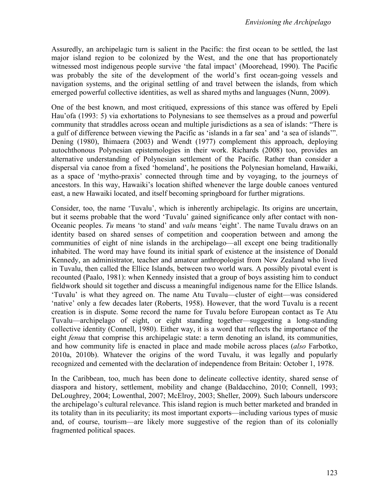Assuredly, an archipelagic turn is salient in the Pacific: the first ocean to be settled, the last major island region to be colonized by the West, and the one that has proportionately witnessed most indigenous people survive 'the fatal impact' (Moorehead, 1990). The Pacific was probably the site of the development of the world's first ocean-going vessels and navigation systems, and the original settling of and travel between the islands, from which emerged powerful collective identities, as well as shared myths and languages (Nunn, 2009).

One of the best known, and most critiqued, expressions of this stance was offered by Epeli Hau'ofa (1993: 5) via exhortations to Polynesians to see themselves as a proud and powerful community that straddles across ocean and multiple jurisdictions as a sea of islands: "There is a gulf of difference between viewing the Pacific as 'islands in a far sea' and 'a sea of islands'". Dening (1980), Ihimaera (2003) and Wendt (1977) complement this approach, deploying autochthonous Polynesian epistemologies in their work. Richards (2008) too, provides an alternative understanding of Polynesian settlement of the Pacific. Rather than consider a dispersal via canoe from a fixed 'homeland', he positions the Polynesian homeland, Hawaiki, as a space of 'mytho-praxis' connected through time and by voyaging, to the journeys of ancestors. In this way, Hawaiki's location shifted whenever the large double canoes ventured east, a new Hawaiki located, and itself becoming springboard for further migrations.

Consider, too, the name 'Tuvalu', which is inherently archipelagic. Its origins are uncertain, but it seems probable that the word 'Tuvalu' gained significance only after contact with non-Oceanic peoples. *Tu* means 'to stand' and *valu* means 'eight'. The name Tuvalu draws on an identity based on shared senses of competition and cooperation between and among the communities of eight of nine islands in the archipelago—all except one being traditionally inhabited. The word may have found its initial spark of existence at the insistence of Donald Kennedy, an administrator, teacher and amateur anthropologist from New Zealand who lived in Tuvalu, then called the Ellice Islands, between two world wars. A possibly pivotal event is recounted (Paalo, 1981): when Kennedy insisted that a group of boys assisting him to conduct fieldwork should sit together and discuss a meaningful indigenous name for the Ellice Islands. 'Tuvalu' is what they agreed on. The name Atu Tuvalu—cluster of eight—was considered 'native' only a few decades later (Roberts, 1958). However, that the word Tuvalu is a recent creation is in dispute. Some record the name for Tuvalu before European contact as Te Atu Tuvalu—archipelago of eight, or eight standing together—suggesting a long-standing collective identity (Connell, 1980). Either way, it is a word that reflects the importance of the eight *fenua* that comprise this archipelagic state: a term denoting an island, its communities, and how community life is enacted in place and made mobile across places (*also* Farbotko, 2010a, 2010b). Whatever the origins of the word Tuvalu, it was legally and popularly recognized and cemented with the declaration of independence from Britain: October 1, 1978.

In the Caribbean, too, much has been done to delineate collective identity, shared sense of diaspora and history, settlement, mobility and change (Baldacchino, 2010; Connell, 1993; DeLoughrey, 2004; Lowenthal, 2007; McElroy, 2003; Sheller, 2009). Such labours underscore the archipelago's cultural relevance. This island region is much better marketed and branded in its totality than in its peculiarity; its most important exports—including various types of music and, of course, tourism—are likely more suggestive of the region than of its colonially fragmented political spaces.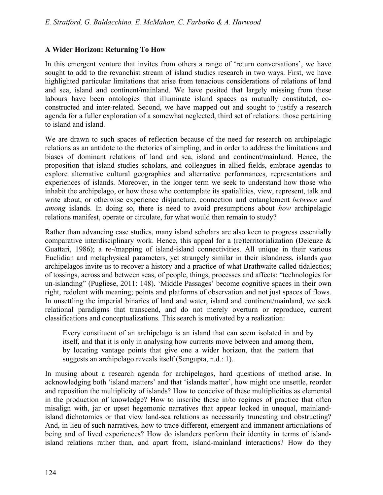## **A Wider Horizon: Returning To How**

In this emergent venture that invites from others a range of 'return conversations', we have sought to add to the revanchist stream of island studies research in two ways. First, we have highlighted particular limitations that arise from tenacious considerations of relations of land and sea, island and continent/mainland. We have posited that largely missing from these labours have been ontologies that illuminate island spaces as mutually constituted, coconstructed and inter-related. Second, we have mapped out and sought to justify a research agenda for a fuller exploration of a somewhat neglected, third set of relations: those pertaining to island and island.

We are drawn to such spaces of reflection because of the need for research on archipelagic relations as an antidote to the rhetorics of simpling, and in order to address the limitations and biases of dominant relations of land and sea, island and continent/mainland. Hence, the proposition that island studies scholars, and colleagues in allied fields, embrace agendas to explore alternative cultural geographies and alternative performances, representations and experiences of islands. Moreover, in the longer term we seek to understand how those who inhabit the archipelago, or how those who contemplate its spatialities, view, represent, talk and write about, or otherwise experience disjuncture, connection and entanglement *between and among* islands. In doing so, there is need to avoid presumptions about *how* archipelagic relations manifest, operate or circulate, for what would then remain to study?

Rather than advancing case studies, many island scholars are also keen to progress essentially comparative interdisciplinary work. Hence, this appeal for a (re)territorialization (Deleuze & Guattari, 1986); a re-/mapping of island-island connectivities. All unique in their various Euclidian and metaphysical parameters, yet strangely similar in their islandness, islands *qua* archipelagos invite us to recover a history and a practice of what Brathwaite called tidalectics; of tossings, across and between seas, of people, things, processes and affects: "technologies for un-islanding" (Pugliese, 2011: 148). 'Middle Passages' become cognitive spaces in their own right, redolent with meaning; points and platforms of observation and not just spaces of flows. In unsettling the imperial binaries of land and water, island and continent/mainland, we seek relational paradigms that transcend, and do not merely overturn or reproduce, current classifications and conceptualizations. This search is motivated by a realization:

Every constituent of an archipelago is an island that can seem isolated in and by itself, and that it is only in analysing how currents move between and among them, by locating vantage points that give one a wider horizon, that the pattern that suggests an archipelago reveals itself (Sengupta, n.d.: 1).

In musing about a research agenda for archipelagos, hard questions of method arise. In acknowledging both 'island matters' and that 'islands matter', how might one unsettle, reorder and reposition the multiplicity of islands? How to conceive of these multiplicities as elemental in the production of knowledge? How to inscribe these in/to regimes of practice that often misalign with, jar or upset hegemonic narratives that appear locked in unequal, mainlandisland dichotomies or that view land-sea relations as necessarily truncating and obstructing? And, in lieu of such narratives, how to trace different, emergent and immanent articulations of being and of lived experiences? How do islanders perform their identity in terms of islandisland relations rather than, and apart from, island-mainland interactions? How do they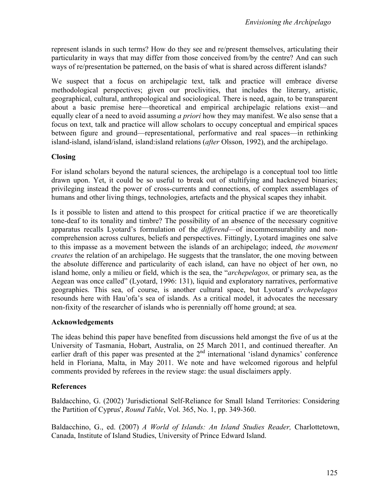represent islands in such terms? How do they see and re/present themselves, articulating their particularity in ways that may differ from those conceived from/by the centre? And can such ways of re/presentation be patterned, on the basis of what is shared across different islands?

We suspect that a focus on archipelagic text, talk and practice will embrace diverse methodological perspectives; given our proclivities, that includes the literary, artistic, geographical, cultural, anthropological and sociological. There is need, again, to be transparent about a basic premise here—theoretical and empirical archipelagic relations exist—and equally clear of a need to avoid assuming *a priori* how they may manifest. We also sense that a focus on text, talk and practice will allow scholars to occupy conceptual and empirical spaces between figure and ground—representational, performative and real spaces—in rethinking island-island, island/island, island:island relations (*after* Olsson, 1992), and the archipelago.

## **Closing**

For island scholars beyond the natural sciences, the archipelago is a conceptual tool too little drawn upon. Yet, it could be so useful to break out of stultifying and hackneyed binaries; privileging instead the power of cross-currents and connections, of complex assemblages of humans and other living things, technologies, artefacts and the physical scapes they inhabit.

Is it possible to listen and attend to this prospect for critical practice if we are theoretically tone-deaf to its tonality and timbre? The possibility of an absence of the necessary cognitive apparatus recalls Lyotard's formulation of the *differend*—of incommensurability and noncomprehension across cultures, beliefs and perspectives. Fittingly, Lyotard imagines one salve to this impasse as a movement between the islands of an archipelago; indeed, *the movement creates* the relation of an archipelago. He suggests that the translator, the one moving between the absolute difference and particularity of each island, can have no object of her own, no island home, only a milieu or field, which is the sea, the "*archepelagos,* or primary sea, as the Aegean was once called" (Lyotard, 1996: 131), liquid and exploratory narratives, performative geographies. This sea, of course, is another cultural space, but Lyotard's *archepelagos* resounds here with Hau'ofa's sea of islands. As a critical model, it advocates the necessary non-fixity of the researcher of islands who is perennially off home ground; at sea.

#### **Acknowledgements**

The ideas behind this paper have benefited from discussions held amongst the five of us at the University of Tasmania, Hobart, Australia, on 25 March 2011, and continued thereafter. An earlier draft of this paper was presented at the  $2<sup>nd</sup>$  international 'island dynamics' conference held in Floriana, Malta, in May 2011. We note and have welcomed rigorous and helpful comments provided by referees in the review stage: the usual disclaimers apply.

## **References**

Baldacchino, G. (2002) 'Jurisdictional Self-Reliance for Small Island Territories: Considering the Partition of Cyprus', *Round Table*, Vol. 365, No. 1, pp. 349-360.

Baldacchino, G., ed. (2007) *A World of Islands: An Island Studies Reader,* Charlottetown, Canada, Institute of Island Studies, University of Prince Edward Island.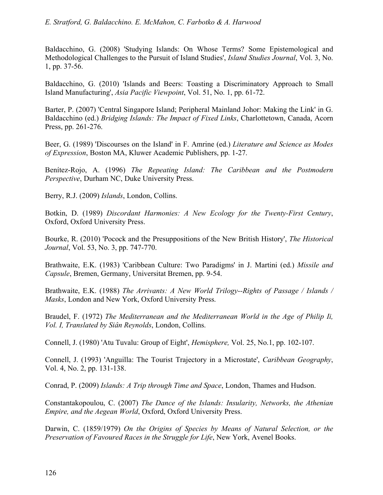Baldacchino, G. (2008) 'Studying Islands: On Whose Terms? Some Epistemological and Methodological Challenges to the Pursuit of Island Studies', *Island Studies Journal*, Vol. 3, No. 1, pp. 37-56.

Baldacchino, G. (2010) 'Islands and Beers: Toasting a Discriminatory Approach to Small Island Manufacturing', *Asia Pacific Viewpoint*, Vol. 51, No. 1, pp. 61-72.

Barter, P. (2007) 'Central Singapore Island; Peripheral Mainland Johor: Making the Link' in G. Baldacchino (ed.) *Bridging Islands: The Impact of Fixed Links*, Charlottetown, Canada, Acorn Press, pp. 261-276.

Beer, G. (1989) 'Discourses on the Island' in F. Amrine (ed.) *Literature and Science as Modes of Expression*, Boston MA, Kluwer Academic Publishers, pp. 1-27.

Benítez-Rojo, A. (1996) *The Repeating Island: The Caribbean and the Postmodern Perspective*, Durham NC, Duke University Press.

Berry, R.J. (2009) *Islands*, London, Collins.

Botkin, D. (1989) *Discordant Harmonies: A New Ecology for the Twenty-First Century*, Oxford, Oxford University Press.

Bourke, R. (2010) 'Pocock and the Presuppositions of the New British History', *The Historical Journal*, Vol. 53, No. 3, pp. 747-770.

Brathwaite, E.K. (1983) 'Caribbean Culture: Two Paradigms' in J. Martini (ed.) *Missile and Capsule*, Bremen, Germany, Universitat Bremen, pp. 9-54.

Brathwaite, E.K. (1988) *The Arrivants: A New World Trilogy--Rights of Passage / Islands / Masks*, London and New York, Oxford University Press.

Braudel, F. (1972) *The Mediterranean and the Mediterranean World in the Age of Philip Ii, Vol. I, Translated by Siân Reynolds*, London, Collins.

Connell, J. (1980) 'Atu Tuvalu: Group of Eight', *Hemisphere,* Vol. 25, No.1, pp. 102-107.

Connell, J. (1993) 'Anguilla: The Tourist Trajectory in a Microstate', *Caribbean Geography*, Vol. 4, No. 2, pp. 131-138.

Conrad, P. (2009) *Islands: A Trip through Time and Space*, London, Thames and Hudson.

Constantakopoulou, C. (2007) *The Dance of the Islands: Insularity, Networks, the Athenian Empire, and the Aegean World*, Oxford, Oxford University Press.

Darwin, C. (1859/1979) *On the Origins of Species by Means of Natural Selection, or the Preservation of Favoured Races in the Struggle for Life*, New York, Avenel Books.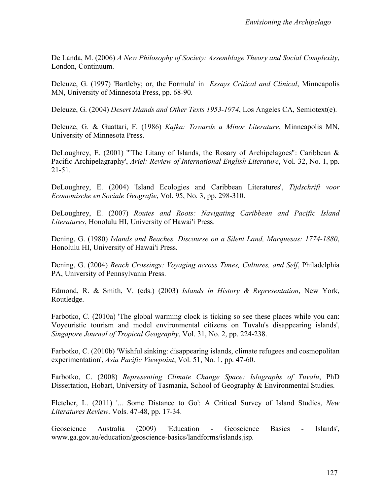De Landa, M. (2006) *A New Philosophy of Society: Assemblage Theory and Social Complexity*, London, Continuum.

Deleuze, G. (1997) 'Bartleby; or, the Formula' in *Essays Critical and Clinical*, Minneapolis MN, University of Minnesota Press, pp. 68-90.

Deleuze, G. (2004) *Desert Islands and Other Texts 1953-1974*, Los Angeles CA, Semiotext(e).

Deleuze, G. & Guattari, F. (1986) *Kafka: Towards a Minor Literature*, Minneapolis MN, University of Minnesota Press.

DeLoughrey, E. (2001) "The Litany of Islands, the Rosary of Archipelagoes": Caribbean  $\&$ Pacific Archipelagraphy', *Ariel: Review of International English Literature*, Vol. 32, No. 1, pp. 21-51.

DeLoughrey, E. (2004) 'Island Ecologies and Caribbean Literatures', *Tijdschrift voor Economische en Sociale Geografie*, Vol. 95, No. 3, pp. 298-310.

DeLoughrey, E. (2007) *Routes and Roots: Navigating Caribbean and Pacific Island Literatures*, Honolulu HI, University of Hawai'i Press.

Dening, G. (1980) *Islands and Beaches. Discourse on a Silent Land, Marquesas: 1774-1880*, Honolulu HI, University of Hawai'i Press.

Dening, G. (2004) *Beach Crossings: Voyaging across Times, Cultures, and Self*, Philadelphia PA, University of Pennsylvania Press.

Edmond, R. & Smith, V. (eds.) (2003) *Islands in History & Representation*, New York, Routledge.

Farbotko, C. (2010a) 'The global warming clock is ticking so see these places while you can: Voyeuristic tourism and model environmental citizens on Tuvalu's disappearing islands', *Singapore Journal of Tropical Geography*, Vol. 31, No. 2, pp. 224-238.

Farbotko, C. (2010b) 'Wishful sinking: disappearing islands, climate refugees and cosmopolitan experimentation', *Asia Pacific Viewpoint*, Vol. 51, No. 1, pp. 47-60.

Farbotko, C. (2008) *Representing Climate Change Space: Islographs of Tuvalu*, PhD Dissertation, Hobart, University of Tasmania, School of Geography & Environmental Studies.

Fletcher, L. (2011) '... Some Distance to Go': A Critical Survey of Island Studies, *New Literatures Review*. Vols. 47-48, pp. 17-34.

Geoscience Australia (2009) 'Education - Geoscience Basics - Islands', www.ga.gov.au/education/geoscience-basics/landforms/islands.jsp.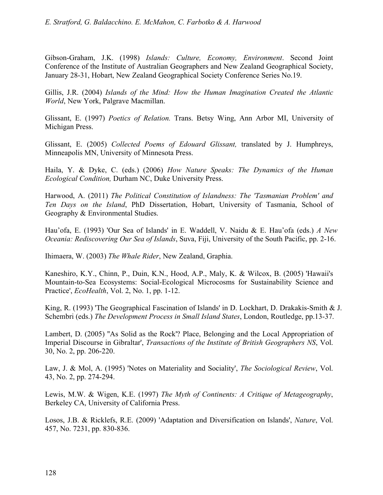Gibson-Graham, J.K. (1998) *Islands: Culture, Economy, Environment*. Second Joint Conference of the Institute of Australian Geographers and New Zealand Geographical Society, January 28-31, Hobart, New Zealand Geographical Society Conference Series No.19.

Gillis, J.R. (2004) *Islands of the Mind: How the Human Imagination Created the Atlantic World*, New York, Palgrave Macmillan.

Glissant, E. (1997) *Poetics of Relation.* Trans. Betsy Wing, Ann Arbor MI, University of Michigan Press.

Glissant, E. (2005) *Collected Poems of Edouard Glissant,* translated by J. Humphreys, Minneapolis MN, University of Minnesota Press.

Haila, Y. & Dyke, C. (eds.) (2006) *How Nature Speaks: The Dynamics of the Human Ecological Condition,* Durham NC, Duke University Press.

Harwood, A. (2011) *The Political Constitution of Islandness: The 'Tasmanian Problem' and Ten Days on the Island*, PhD Dissertation, Hobart, University of Tasmania, School of Geography & Environmental Studies.

Hau'ofa, E. (1993) 'Our Sea of Islands' in E. Waddell, V. Naidu & E. Hau'ofa (eds.) *A New Oceania: Rediscovering Our Sea of Islands*, Suva, Fiji, University of the South Pacific, pp. 2-16.

Ihimaera, W. (2003) *The Whale Rider*, New Zealand, Graphia.

Kaneshiro, K.Y., Chinn, P., Duin, K.N., Hood, A.P., Maly, K. & Wilcox, B. (2005) 'Hawaii's Mountain-to-Sea Ecosystems: Social-Ecological Microcosms for Sustainability Science and Practice', *EcoHealth*, Vol. 2, No. 1, pp. 1-12.

King, R. (1993) 'The Geographical Fascination of Islands' in D. Lockhart, D. Drakakis-Smith & J. Schembri (eds.) *The Development Process in Small Island States*, London, Routledge, pp.13-37.

Lambert, D. (2005) ''As Solid as the Rock'? Place, Belonging and the Local Appropriation of Imperial Discourse in Gibraltar', *Transactions of the Institute of British Geographers NS*, Vol. 30, No. 2, pp. 206-220.

Law, J. & Mol, A. (1995) 'Notes on Materiality and Sociality', *The Sociological Review*, Vol. 43, No. 2, pp. 274-294.

Lewis, M.W. & Wigen, K.E. (1997) *The Myth of Continents: A Critique of Metageography*, Berkeley CA, University of California Press.

Losos, J.B. & Ricklefs, R.E. (2009) 'Adaptation and Diversification on Islands', *Nature*, Vol. 457, No. 7231, pp. 830-836.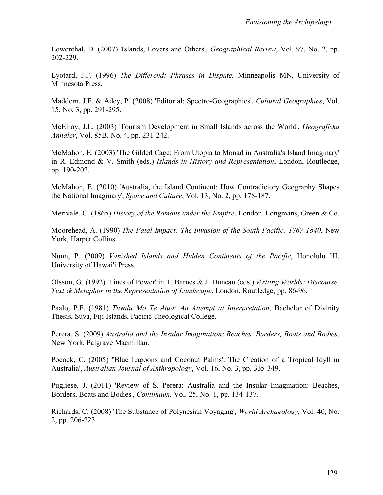Lowenthal, D. (2007) 'Islands, Lovers and Others', *Geographical Review*, Vol. 97, No. 2, pp. 202-229.

Lyotard, J.F. (1996) *The Differend: Phrases in Dispute*, Minneapolis MN, University of Minnesota Press.

Maddern, J.F. & Adey, P. (2008) 'Editorial: Spectro-Geographies', *Cultural Geographies*, Vol. 15, No. 3, pp. 291-295.

McElroy, J.L. (2003) 'Tourism Development in Small Islands across the World', *Geografiska Annaler*, Vol. 85B, No. 4, pp. 231-242.

McMahon, E. (2003) 'The Gilded Cage: From Utopia to Monad in Australia's Island Imaginary' in R. Edmond & V. Smith (eds.) *Islands in History and Representation*, London, Routledge, pp. 190-202.

McMahon, E. (2010) 'Australia, the Island Continent: How Contradictory Geography Shapes the National Imaginary', *Space and Culture*, Vol. 13, No. 2, pp. 178-187.

Merivale, C. (1865) *History of the Romans under the Empire*, London, Longmans, Green & Co.

Moorehead, A. (1990) *The Fatal Impact: The Invasion of the South Pacific: 1767-1840*, New York, Harper Collins.

Nunn, P. (2009) *Vanished Islands and Hidden Continents of the Pacific*, Honolulu HI, University of Hawai'i Press.

Olsson, G. (1992) 'Lines of Power' in T. Barnes & J. Duncan (eds.) *Writing Worlds: Discourse, Text & Metaphor in the Representation of Landscape*, London, Routledge, pp. 86-96.

Paalo, P.F. (1981) *Tuvalu Mo Te Atua: An Attempt at Interpretation*, Bachelor of Divinity Thesis, Suva, Fiji Islands, Pacific Theological College.

Perera, S. (2009) *Australia and the Insular Imagination: Beaches, Borders, Boats and Bodies*, New York, Palgrave Macmillan.

Pocock, C. (2005) ''Blue Lagoons and Coconut Palms': The Creation of a Tropical Idyll in Australia', *Australian Journal of Anthropology*, Vol. 16, No. 3, pp. 335-349.

Pugliese, J. (2011) 'Review of S. Perera: Australia and the Insular Imagination: Beaches, Borders, Boats and Bodies', *Continuum*, Vol. 25, No. 1, pp. 134-137.

Richards, C. (2008) 'The Substance of Polynesian Voyaging', *World Archaeology*, Vol. 40, No. 2, pp. 206-223.